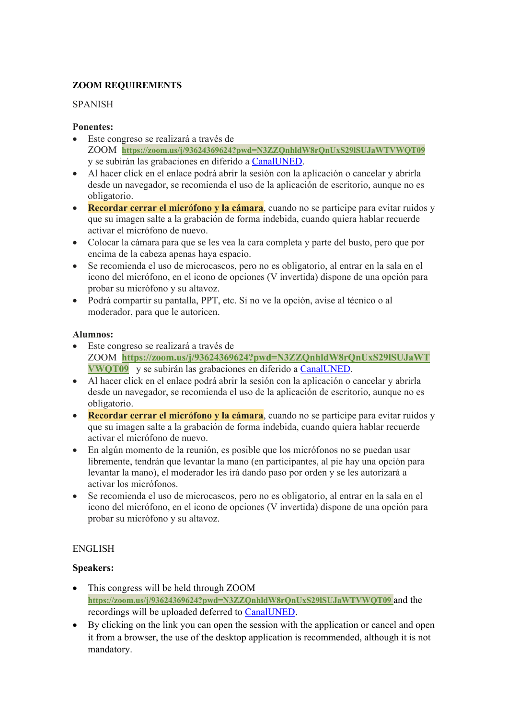# **ZOOM REQUIREMENTS**

### SPANISH

### **Ponentes:**

- Este congreso se realizará a través de ZOOM **https://zoom.us/j/93624369624?pwd=N3ZZQnhldW8rQnUxS29lSUJaWTVWQT09** y se subirán las grabaciones en diferido a CanalUNED.
- Al hacer click en el enlace podrá abrir la sesión con la aplicación o cancelar y abrirla desde un navegador, se recomienda el uso de la aplicación de escritorio, aunque no es obligatorio.
- **Recordar cerrar el micrófono y la cámara**, cuando no se participe para evitar ruidos y que su imagen salte a la grabación de forma indebida, cuando quiera hablar recuerde activar el micrófono de nuevo.
- Colocar la cámara para que se les vea la cara completa y parte del busto, pero que por encima de la cabeza apenas haya espacio.
- Se recomienda el uso de microcascos, pero no es obligatorio, al entrar en la sala en el icono del micrófono, en el icono de opciones (V invertida) dispone de una opción para probar su micrófono y su altavoz.
- Podrá compartir su pantalla, PPT, etc. Si no ve la opción, avise al técnico o al moderador, para que le autoricen.

### **Alumnos:**

- Este congreso se realizará a través de ZOOM **https://zoom.us/j/93624369624?pwd=N3ZZQnhldW8rQnUxS29lSUJaWT VWQT09** y se subirán las grabaciones en diferido a CanalUNED.
- Al hacer click en el enlace podrá abrir la sesión con la aplicación o cancelar y abrirla desde un navegador, se recomienda el uso de la aplicación de escritorio, aunque no es obligatorio.
- **Recordar cerrar el micrófono y la cámara**, cuando no se participe para evitar ruidos y que su imagen salte a la grabación de forma indebida, cuando quiera hablar recuerde activar el micrófono de nuevo.
- En algún momento de la reunión, es posible que los micrófonos no se puedan usar libremente, tendrán que levantar la mano (en participantes, al pie hay una opción para levantar la mano), el moderador les irá dando paso por orden y se les autorizará a activar los micrófonos.
- Se recomienda el uso de microcascos, pero no es obligatorio, al entrar en la sala en el icono del micrófono, en el icono de opciones (V invertida) dispone de una opción para probar su micrófono y su altavoz.

## ENGLISH

## **Speakers:**

- This congress will be held through ZOOM **https://zoom.us/j/93624369624?pwd=N3ZZQnhldW8rQnUxS29lSUJaWTVWQT09** and the recordings will be uploaded deferred to CanalUNED.
- By clicking on the link you can open the session with the application or cancel and open it from a browser, the use of the desktop application is recommended, although it is not mandatory.